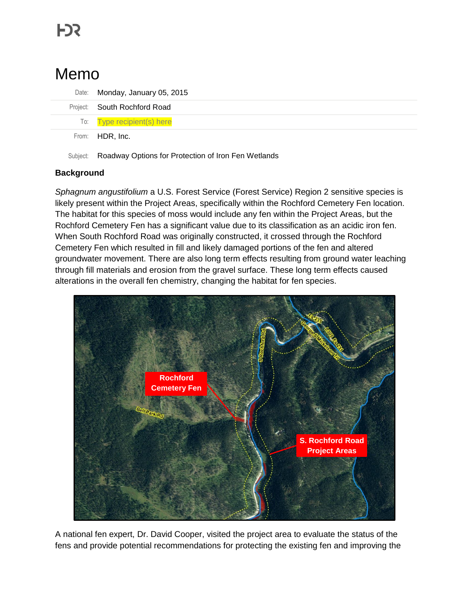# Memo

| Date: Monday, January 05, 2015 |
|--------------------------------|
| Project: South Rochford Road   |
| To: Type recipient(s) here     |
| From: HDR, Inc.                |

Subject: Roadway Options for Protection of Iron Fen Wetlands

### **Background**

*Sphagnum angustifolium* a U.S. Forest Service (Forest Service) Region 2 sensitive species is likely present within the Project Areas, specifically within the Rochford Cemetery Fen location. The habitat for this species of moss would include any fen within the Project Areas, but the Rochford Cemetery Fen has a significant value due to its classification as an acidic iron fen. When South Rochford Road was originally constructed, it crossed through the Rochford Cemetery Fen which resulted in fill and likely damaged portions of the fen and altered groundwater movement. There are also long term effects resulting from ground water leaching through fill materials and erosion from the gravel surface. These long term effects caused alterations in the overall fen chemistry, changing the habitat for fen species.



A national fen expert, Dr. David Cooper, visited the project area to evaluate the status of the fens and provide potential recommendations for protecting the existing fen and improving the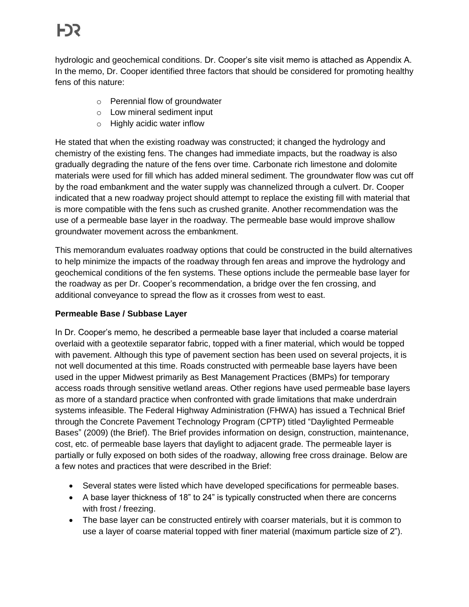hydrologic and geochemical conditions. Dr. Cooper's site visit memo is attached as Appendix A. In the memo, Dr. Cooper identified three factors that should be considered for promoting healthy fens of this nature:

- o Perennial flow of groundwater
- o Low mineral sediment input
- o Highly acidic water inflow

He stated that when the existing roadway was constructed; it changed the hydrology and chemistry of the existing fens. The changes had immediate impacts, but the roadway is also gradually degrading the nature of the fens over time. Carbonate rich limestone and dolomite materials were used for fill which has added mineral sediment. The groundwater flow was cut off by the road embankment and the water supply was channelized through a culvert. Dr. Cooper indicated that a new roadway project should attempt to replace the existing fill with material that is more compatible with the fens such as crushed granite. Another recommendation was the use of a permeable base layer in the roadway. The permeable base would improve shallow groundwater movement across the embankment.

This memorandum evaluates roadway options that could be constructed in the build alternatives to help minimize the impacts of the roadway through fen areas and improve the hydrology and geochemical conditions of the fen systems. These options include the permeable base layer for the roadway as per Dr. Cooper's recommendation, a bridge over the fen crossing, and additional conveyance to spread the flow as it crosses from west to east.

## **Permeable Base / Subbase Layer**

In Dr. Cooper's memo, he described a permeable base layer that included a coarse material overlaid with a geotextile separator fabric, topped with a finer material, which would be topped with pavement. Although this type of pavement section has been used on several projects, it is not well documented at this time. Roads constructed with permeable base layers have been used in the upper Midwest primarily as Best Management Practices (BMPs) for temporary access roads through sensitive wetland areas. Other regions have used permeable base layers as more of a standard practice when confronted with grade limitations that make underdrain systems infeasible. The Federal Highway Administration (FHWA) has issued a Technical Brief through the Concrete Pavement Technology Program (CPTP) titled "Daylighted Permeable Bases" (2009) (the Brief). The Brief provides information on design, construction, maintenance, cost, etc. of permeable base layers that daylight to adjacent grade. The permeable layer is partially or fully exposed on both sides of the roadway, allowing free cross drainage. Below are a few notes and practices that were described in the Brief:

- Several states were listed which have developed specifications for permeable bases.
- A base layer thickness of 18" to 24" is typically constructed when there are concerns with frost / freezing.
- The base layer can be constructed entirely with coarser materials, but it is common to use a layer of coarse material topped with finer material (maximum particle size of 2").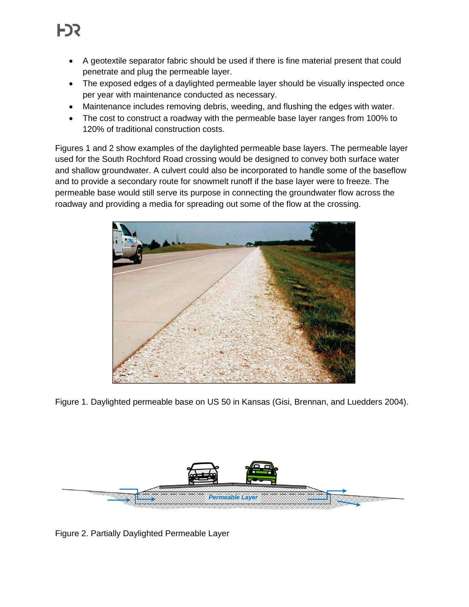- A geotextile separator fabric should be used if there is fine material present that could penetrate and plug the permeable layer.
- The exposed edges of a daylighted permeable layer should be visually inspected once per year with maintenance conducted as necessary.
- Maintenance includes removing debris, weeding, and flushing the edges with water.
- The cost to construct a roadway with the permeable base layer ranges from 100% to 120% of traditional construction costs.

Figures 1 and 2 show examples of the daylighted permeable base layers. The permeable layer used for the South Rochford Road crossing would be designed to convey both surface water and shallow groundwater. A culvert could also be incorporated to handle some of the baseflow and to provide a secondary route for snowmelt runoff if the base layer were to freeze. The permeable base would still serve its purpose in connecting the groundwater flow across the roadway and providing a media for spreading out some of the flow at the crossing.



Figure 1. Daylighted permeable base on US 50 in Kansas (Gisi, Brennan, and Luedders 2004).



Figure 2. Partially Daylighted Permeable Layer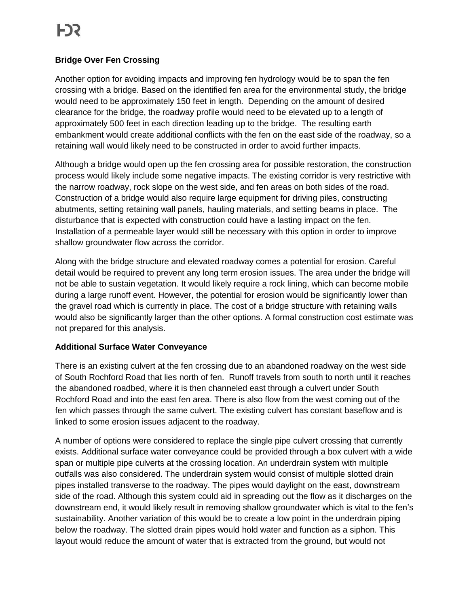### **Bridge Over Fen Crossing**

Another option for avoiding impacts and improving fen hydrology would be to span the fen crossing with a bridge. Based on the identified fen area for the environmental study, the bridge would need to be approximately 150 feet in length. Depending on the amount of desired clearance for the bridge, the roadway profile would need to be elevated up to a length of approximately 500 feet in each direction leading up to the bridge. The resulting earth embankment would create additional conflicts with the fen on the east side of the roadway, so a retaining wall would likely need to be constructed in order to avoid further impacts.

Although a bridge would open up the fen crossing area for possible restoration, the construction process would likely include some negative impacts. The existing corridor is very restrictive with the narrow roadway, rock slope on the west side, and fen areas on both sides of the road. Construction of a bridge would also require large equipment for driving piles, constructing abutments, setting retaining wall panels, hauling materials, and setting beams in place. The disturbance that is expected with construction could have a lasting impact on the fen. Installation of a permeable layer would still be necessary with this option in order to improve shallow groundwater flow across the corridor.

Along with the bridge structure and elevated roadway comes a potential for erosion. Careful detail would be required to prevent any long term erosion issues. The area under the bridge will not be able to sustain vegetation. It would likely require a rock lining, which can become mobile during a large runoff event. However, the potential for erosion would be significantly lower than the gravel road which is currently in place. The cost of a bridge structure with retaining walls would also be significantly larger than the other options. A formal construction cost estimate was not prepared for this analysis.

#### **Additional Surface Water Conveyance**

There is an existing culvert at the fen crossing due to an abandoned roadway on the west side of South Rochford Road that lies north of fen. Runoff travels from south to north until it reaches the abandoned roadbed, where it is then channeled east through a culvert under South Rochford Road and into the east fen area. There is also flow from the west coming out of the fen which passes through the same culvert. The existing culvert has constant baseflow and is linked to some erosion issues adjacent to the roadway.

A number of options were considered to replace the single pipe culvert crossing that currently exists. Additional surface water conveyance could be provided through a box culvert with a wide span or multiple pipe culverts at the crossing location. An underdrain system with multiple outfalls was also considered. The underdrain system would consist of multiple slotted drain pipes installed transverse to the roadway. The pipes would daylight on the east, downstream side of the road. Although this system could aid in spreading out the flow as it discharges on the downstream end, it would likely result in removing shallow groundwater which is vital to the fen's sustainability. Another variation of this would be to create a low point in the underdrain piping below the roadway. The slotted drain pipes would hold water and function as a siphon. This layout would reduce the amount of water that is extracted from the ground, but would not